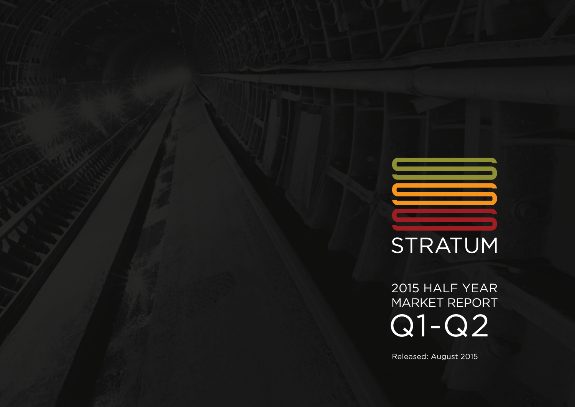# STRATUM

2015 HALF YEAR MARKET REPORT [Q1-Q2](#page-1-0)

Released: August 2015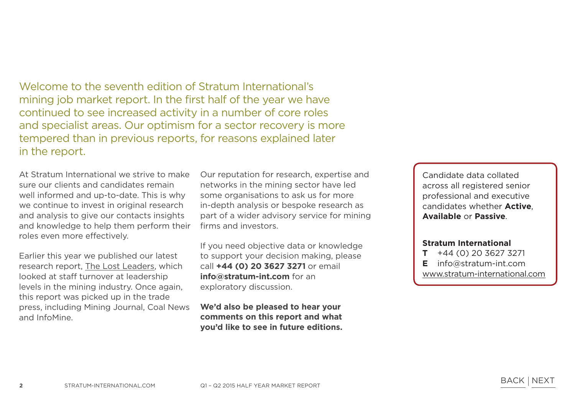<span id="page-1-0"></span>Welcome to the seventh edition of Stratum International's mining job market report. In the first half of the year we have continued to see increased activity in a number of core roles and specialist areas. Our optimism for a sector recovery is more tempered than in previous reports, for reasons explained later in the report.

At Stratum International we strive to make sure our clients and candidates remain well informed and up-to-date. This is why we continue to invest in original research and analysis to give our contacts insights and knowledge to help them perform their roles even more effectively.

Earlier this year we published our latest research report, [The Lost Leaders](http://www.stratum-international.com/lost-leaders-staff-turnover/), which looked at staff turnover at leadership levels in the mining industry. Once again, this report was picked up in the trade press, including Mining Journal, Coal News and InfoMine.

Our reputation for research, expertise and networks in the mining sector have led some organisations to ask us for more in-depth analysis or bespoke research as part of a wider advisory service for mining firms and investors.

If you need objective data or knowledge to support your decision making, please call **+44 (0) 20 3627 3271** or email **info@stratum-int.com** for an exploratory discussion.

**We'd also be pleased to hear your comments on this report and what you'd like to see in future editions.**

Candidate data collated across all registered senior professional and executive candidates whether **Active**, **Available** or **Passive**.

### **Stratum International**

- **T** +44 (0) 20 3627 3271 **E** info@stratum-int.com
- [www.stratum-international.com](http://www.stratum-international.com)

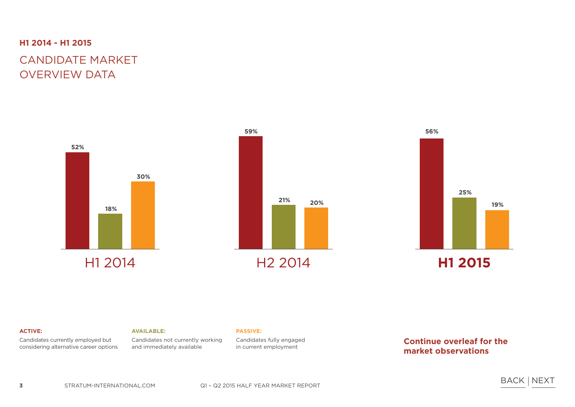#### **H1 2014 - H1 2015**

# CANDIDATE MARKET OVERVIEW DATA







#### **ACTIVE:**

Candidates currently employed but considering alternative career options

#### **AVAILABLE:**

Candidates not currently working and immediately available

Candidates fully engaged in current employment

**Continue overleaf for the market observations**

**PASSIVE:**

BACK NEXT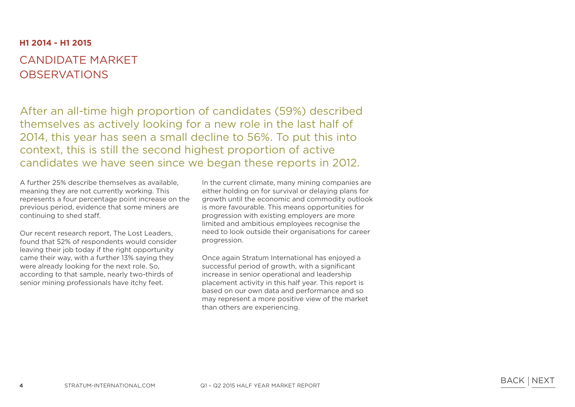#### **H1 2014 - H1 2015**

## CANDIDATE MARKET **OBSERVATIONS**

After an all-time high proportion of candidates (59%) described themselves as actively looking for a new role in the last half of 2014, this year has seen a small decline to 56%. To put this into context, this is still the second highest proportion of active candidates we have seen since we began these reports in 2012.

A further 25% describe themselves as available, meaning they are not currently working. This represents a four percentage point increase on the previous period, evidence that some miners are continuing to shed staff.

Our recent research report, The Lost Leaders, found that 52% of respondents would consider leaving their job today if the right opportunity came their way, with a further 13% saying they were already looking for the next role. So, according to that sample, nearly two-thirds of senior mining professionals have itchy feet.

In the current climate, many mining companies are either holding on for survival or delaying plans for growth until the economic and commodity outlook is more favourable. This means opportunities for progression with existing employers are more limited and ambitious employees recognise the need to look outside their organisations for career progression.

Once again Stratum International has enjoyed a successful period of growth, with a significant increase in senior operational and leadership placement activity in this half year. This report is based on our own data and performance and so may represent a more positive view of the market than others are experiencing.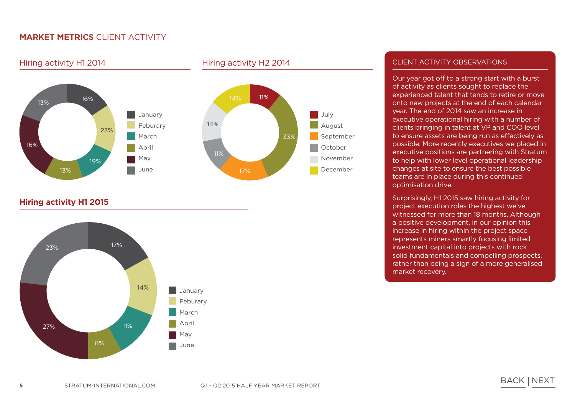Hiring activity H1 2014 Hiring activity H2 2014





**Hiring activity H1 2015**



#### CLIENT ACTIVITY OBSERVATIONS

Our year got off to a strong start with a burst of activity as clients sought to replace the experienced talent that tends to retire or move onto new projects at the end of each calendar year. The end of 2014 saw an increase in executive operational hiring with a number of clients bringing in talent at VP and COO level to ensure assets are being run as effectively as possible. More recently executives we placed in executive positions are partnering with Stratum to help with lower level operational leadership changes at site to ensure the best possible teams are in place during this continued optimisation drive.

Surprisingly, H1 2015 saw hiring activity for project execution roles the highest we've witnessed for more than 18 months. Although a positive development, in our opinion this increase in hiring within the project space represents miners smartly focusing limited investment capital into projects with rock solid fundamentals and compelling prospects, rather than being a sign of a more generalised market recovery.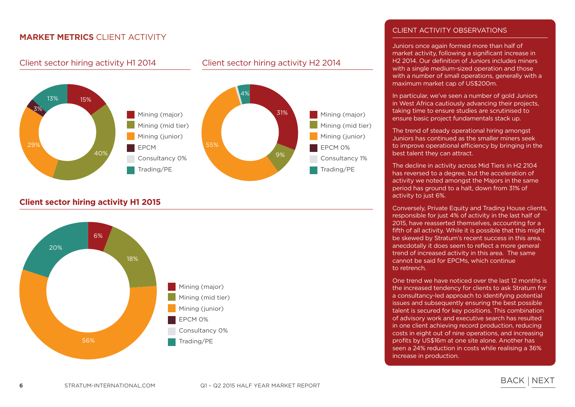#### Client sector hiring activity H1 2014 Client sector hiring activity H2 2014



#### **Client sector hiring activity H1 2015**



#### CLIENT ACTIVITY OBSERVATIONS

Juniors once again formed more than half of market activity, following a significant increase in H2 2014. Our definition of Juniors includes miners with a single medium-sized operation and those with a number of small operations, generally with a maximum market cap of US\$200m.

In particular, we've seen a number of gold Juniors in West Africa cautiously advancing their projects, taking time to ensure studies are scrutinised to ensure basic project fundamentals stack up.

The trend of steady operational hiring amongst Juniors has continued as the smaller miners seek to improve operational efficiency by bringing in the best talent they can attract.

The decline in activity across Mid Tiers in H2 2104 has reversed to a degree, but the acceleration of activity we noted amongst the Majors in the same period has ground to a halt, down from 31% of activity to just 6%.

Conversely, Private Equity and Trading House clients, responsible for just 4% of activity in the last half of 2015, have reasserted themselves, accounting for a fifth of all activity. While it is possible that this might be skewed by Stratum's recent success in this area, anecdotally it does seem to reflect a more general trend of increased activity in this area. The same cannot be said for EPCMs, which continue to retrench.

One trend we have noticed over the last 12 months is the increased tendency for clients to ask Stratum for a consultancy-led approach to identifying potential issues and subsequently ensuring the best possible talent is secured for key positions. This combination of advisory work and executive search has resulted in one client achieving record production, reducing costs in eight out of nine operations, and increasing profits by US\$16m at one site alone. Another has seen a 24% reduction in costs while realising a 36% increase in production.

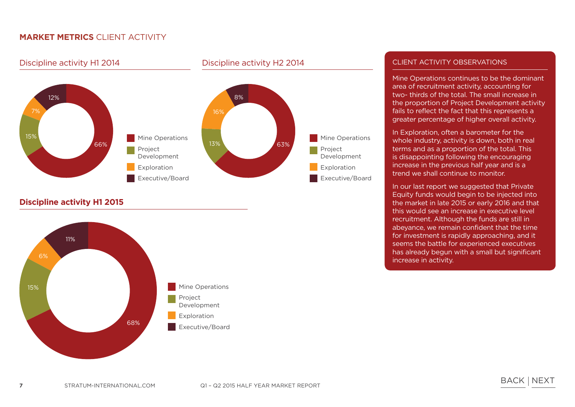Discipline activity H1 2014 Discipline activity H2 2014



**Discipline activity H1 2015**



#### CLIENT ACTIVITY OBSERVATIONS

Mine Operations continues to be the dominant area of recruitment activity, accounting for two- thirds of the total. The small increase in the proportion of Project Development activity fails to reflect the fact that this represents a greater percentage of higher overall activity.

In Exploration, often a barometer for the whole industry, activity is down, both in real terms and as a proportion of the total. This is disappointing following the encouraging increase in the previous half year and is a trend we shall continue to monitor.

In our last report we suggested that Private Equity funds would begin to be injected into the market in late 2015 or early 2016 and that this would see an increase in executive level recruitment. Although the funds are still in abeyance, we remain confident that the time for investment is rapidly approaching, and it seems the battle for experienced executives has already begun with a small but significant increase in activity.

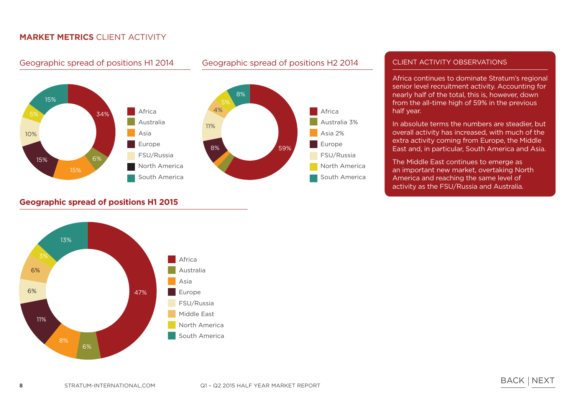

#### **Geographic spread of positions H1 2015**



#### Geographic spread of positions H1 2014 Geographic spread of positions H2 2014

# Africa Australia 3% Asia 2% Europe FSU/Russia North America South America

#### CLIENT ACTIVITY OBSERVATIONS

Africa continues to dominate Stratum's regional senior level recruitment activity. Accounting for nearly half of the total, this is, however, down from the all-time high of 59% in the previous half year.

In absolute terms the numbers are steadier, but overall activity has increased, with much of the extra activity coming from Europe, the Middle East and, in particular, South America and Asia.

The Middle East continues to emerge as an important new market, overtaking North America and reaching the same level of activity as the FSU/Russia and Australia.

BACK INEXT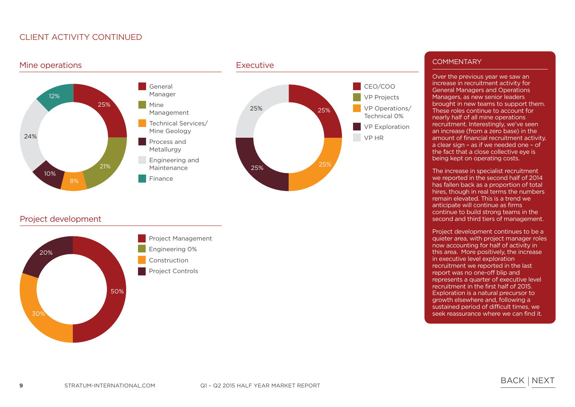### CLIENT ACTIVITY continued



#### Project development



Engineering 0% Construction

Project Management

Project Controls

#### **COMMENTARY**

Over the previous year we saw an increase in recruitment activity for General Managers and Operations Managers, as new senior leaders brought in new teams to support them. These roles continue to account for nearly half of all mine operations recruitment. Interestingly, we've seen an increase (from a zero base) in the amount of financial recruitment activity, a clear sign – as if we needed one – of the fact that a close collective eye is being kept on operating costs.

The increase in specialist recruitment we reported in the second half of 2014 has fallen back as a proportion of total hires, though in real terms the numbers remain elevated. This is a trend we anticipate will continue as firms continue to build strong teams in the second and third tiers of management.

Project development continues to be a quieter area, with project manager roles now accounting for half of activity in this area. More positively, the increase in executive level exploration recruitment we reported in the last report was no one-off blip and represents a quarter of executive level recruitment in the first half of 2015. Exploration is a natural precursor to growth elsewhere and, following a sustained period of difficult times, we seek reassurance where we can find it.

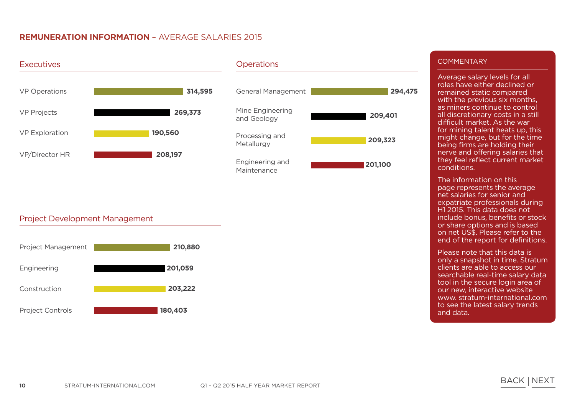#### **REMUNERATION INFORMATION** – Average salaries 2015



#### Project Development Management



#### **COMMENTARY**

Average salary levels for all roles have either declined or remained static compared with the previous six months, as miners continue to control all discretionary costs in a still difficult market. As the war for mining talent heats up, this might change, but for the time being firms are holding their nerve and offering salaries that they feel reflect current market conditions.

The information on this page represents the average net salaries for senior and expatriate professionals during H1 2015. This data does not include bonus, benefits or stock or share options and is based on net US\$. Please refer to the end of the report for definitions.

Please note that this data is only a snapshot in time. Stratum clients are able to access our searchable real-time salary data tool in the secure login area of our new, interactive website www. stratum-international.com to see the latest salary trends and data.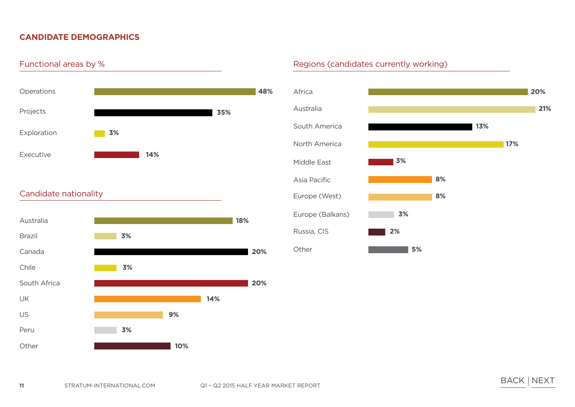### **CANDIDATE DEMOGRAPHICS**



### Candidate nationality



#### Regions (candidates currently working)

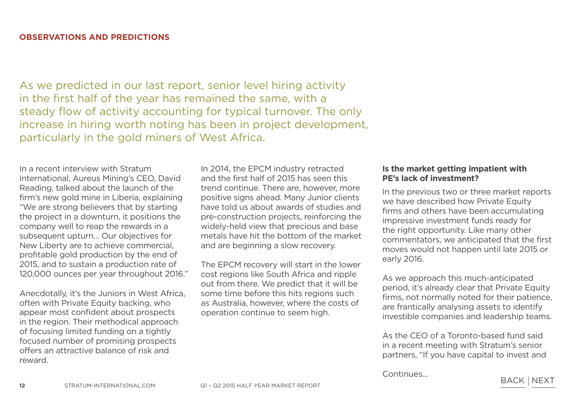As we predicted in our last report, senior level hiring activity in the first half of the year has remained the same, with a steady flow of activity accounting for typical turnover. The only increase in hiring worth noting has been in project development, particularly in the gold miners of West Africa.

In a recent interview with Stratum International, Aureus Mining's CEO, David Reading, talked about the launch of the firm's new gold mine in Liberia, explaining "We are strong believers that by starting the project in a downturn, it positions the company well to reap the rewards in a subsequent upturn… Our objectives for New Liberty are to achieve commercial, profitable gold production by the end of 2015, and to sustain a production rate of 120,000 ounces per year throughout 2016."

Anecdotally, it's the Juniors in West Africa, often with Private Equity backing, who appear most confident about prospects in the region. Their methodical approach of focusing limited funding on a tightly focused number of promising prospects offers an attractive balance of risk and reward.

In 2014, the EPCM industry retracted and the first half of 2015 has seen this trend continue. There are, however, more positive signs ahead. Many Junior clients have told us about awards of studies and pre-construction projects, reinforcing the widely-held view that precious and base metals have hit the bottom of the market and are beginning a slow recovery.

The EPCM recovery will start in the lower cost regions like South Africa and ripple out from there. We predict that it will be some time before this hits regions such as Australia, however, where the costs of operation continue to seem high.

#### **Is the market getting impatient with PE's lack of investment?**

In the previous two or three market reports we have described how Private Equity firms and others have been accumulating impressive investment funds ready for the right opportunity. Like many other commentators, we anticipated that the first moves would not happen until late 2015 or early 2016.

As we approach this much-anticipated period, it's already clear that Private Equity firms, not normally noted for their patience, are frantically analysing assets to identify investible companies and leadership teams.

As the CEO of a Toronto-based fund said in a recent meeting with Stratum's senior partners, "If you have capital to invest and

Continues...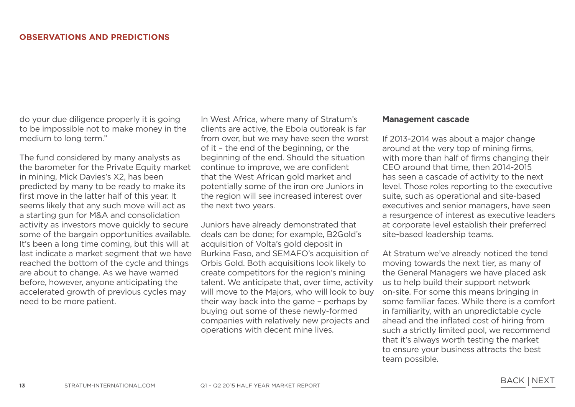do your due diligence properly it is going to be impossible not to make money in the medium to long term."

The fund considered by many analysts as the barometer for the Private Equity market in mining, Mick Davies's X2, has been predicted by many to be ready to make its first move in the latter half of this year. It seems likely that any such move will act as a starting gun for M&A and consolidation activity as investors move quickly to secure some of the bargain opportunities available. It's been a long time coming, but this will at last indicate a market segment that we have reached the bottom of the cycle and things are about to change. As we have warned before, however, anyone anticipating the accelerated growth of previous cycles may need to be more patient.

In West Africa, where many of Stratum's clients are active, the Ebola outbreak is far from over, but we may have seen the worst of it – the end of the beginning, or the beginning of the end. Should the situation continue to improve, we are confident that the West African gold market and potentially some of the iron ore Juniors in the region will see increased interest over the next two years.

Juniors have already demonstrated that deals can be done; for example, B2Gold's acquisition of Volta's gold deposit in Burkina Faso, and SEMAFO's acquisition of Orbis Gold. Both acquisitions look likely to create competitors for the region's mining talent. We anticipate that, over time, activity will move to the Majors, who will look to buy their way back into the game – perhaps by buying out some of these newly-formed companies with relatively new projects and operations with decent mine lives.

#### **Management cascade**

If 2013-2014 was about a major change around at the very top of mining firms, with more than half of firms changing their CEO around that time, then 2014-2015 has seen a cascade of activity to the next level. Those roles reporting to the executive suite, such as operational and site-based executives and senior managers, have seen a resurgence of interest as executive leaders at corporate level establish their preferred site-based leadership teams.

At Stratum we've already noticed the tend moving towards the next tier, as many of the General Managers we have placed ask us to help build their support network on-site. For some this means bringing in some familiar faces. While there is a comfort in familiarity, with an unpredictable cycle ahead and the inflated cost of hiring from such a strictly limited pool, we recommend that it's always worth testing the market to ensure your business attracts the best team possible.